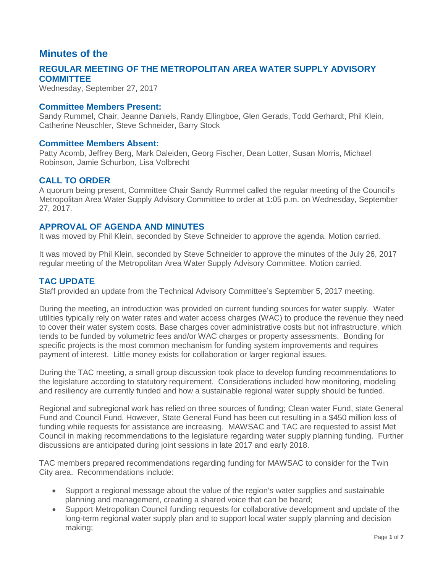## **Minutes of the**

## **REGULAR MEETING OF THE METROPOLITAN AREA WATER SUPPLY ADVISORY COMMITTEE**

Wednesday, September 27, 2017

### **Committee Members Present:**

Sandy Rummel, Chair, Jeanne Daniels, Randy Ellingboe, Glen Gerads, Todd Gerhardt, Phil Klein, Catherine Neuschler, Steve Schneider, Barry Stock

#### **Committee Members Absent:**

Patty Acomb, Jeffrey Berg, Mark Daleiden, Georg Fischer, Dean Lotter, Susan Morris, Michael Robinson, Jamie Schurbon, Lisa Volbrecht

## **CALL TO ORDER**

A quorum being present, Committee Chair Sandy Rummel called the regular meeting of the Council's Metropolitan Area Water Supply Advisory Committee to order at 1:05 p.m. on Wednesday, September 27, 2017.

### **APPROVAL OF AGENDA AND MINUTES**

It was moved by Phil Klein, seconded by Steve Schneider to approve the agenda. Motion carried.

It was moved by Phil Klein, seconded by Steve Schneider to approve the minutes of the July 26, 2017 regular meeting of the Metropolitan Area Water Supply Advisory Committee. Motion carried.

## **TAC UPDATE**

Staff provided an update from the Technical Advisory Committee's September 5, 2017 meeting.

During the meeting, an introduction was provided on current funding sources for water supply. Water utilities typically rely on water rates and water access charges (WAC) to produce the revenue they need to cover their water system costs. Base charges cover administrative costs but not infrastructure, which tends to be funded by volumetric fees and/or WAC charges or property assessments. Bonding for specific projects is the most common mechanism for funding system improvements and requires payment of interest. Little money exists for collaboration or larger regional issues.

During the TAC meeting, a small group discussion took place to develop funding recommendations to the legislature according to statutory requirement. Considerations included how monitoring, modeling and resiliency are currently funded and how a sustainable regional water supply should be funded.

Regional and subregional work has relied on three sources of funding; Clean water Fund, state General Fund and Council Fund. However, State General Fund has been cut resulting in a \$450 million loss of funding while requests for assistance are increasing. MAWSAC and TAC are requested to assist Met Council in making recommendations to the legislature regarding water supply planning funding. Further discussions are anticipated during joint sessions in late 2017 and early 2018.

TAC members prepared recommendations regarding funding for MAWSAC to consider for the Twin City area. Recommendations include:

- Support a regional message about the value of the region's water supplies and sustainable planning and management, creating a shared voice that can be heard;
- Support Metropolitan Council funding requests for collaborative development and update of the long-term regional water supply plan and to support local water supply planning and decision making;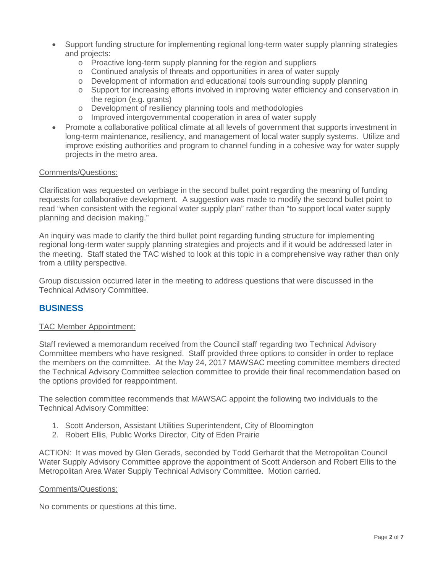- Support funding structure for implementing regional long-term water supply planning strategies and projects:
	- o Proactive long-term supply planning for the region and suppliers
	- o Continued analysis of threats and opportunities in area of water supply
	- o Development of information and educational tools surrounding supply planning
	- o Support for increasing efforts involved in improving water efficiency and conservation in the region (e.g. grants)
	- o Development of resiliency planning tools and methodologies
	- o Improved intergovernmental cooperation in area of water supply
- Promote a collaborative political climate at all levels of government that supports investment in long-term maintenance, resiliency, and management of local water supply systems. Utilize and improve existing authorities and program to channel funding in a cohesive way for water supply projects in the metro area.

#### Comments/Questions:

Clarification was requested on verbiage in the second bullet point regarding the meaning of funding requests for collaborative development. A suggestion was made to modify the second bullet point to read "when consistent with the regional water supply plan" rather than "to support local water supply planning and decision making."

An inquiry was made to clarify the third bullet point regarding funding structure for implementing regional long-term water supply planning strategies and projects and if it would be addressed later in the meeting. Staff stated the TAC wished to look at this topic in a comprehensive way rather than only from a utility perspective.

Group discussion occurred later in the meeting to address questions that were discussed in the Technical Advisory Committee.

## **BUSINESS**

#### TAC Member Appointment:

Staff reviewed a memorandum received from the Council staff regarding two Technical Advisory Committee members who have resigned. Staff provided three options to consider in order to replace the members on the committee. At the May 24, 2017 MAWSAC meeting committee members directed the Technical Advisory Committee selection committee to provide their final recommendation based on the options provided for reappointment.

The selection committee recommends that MAWSAC appoint the following two individuals to the Technical Advisory Committee:

- 1. Scott Anderson, Assistant Utilities Superintendent, City of Bloomington
- 2. Robert Ellis, Public Works Director, City of Eden Prairie

ACTION: It was moved by Glen Gerads, seconded by Todd Gerhardt that the Metropolitan Council Water Supply Advisory Committee approve the appointment of Scott Anderson and Robert Ellis to the Metropolitan Area Water Supply Technical Advisory Committee. Motion carried.

#### Comments/Questions:

No comments or questions at this time.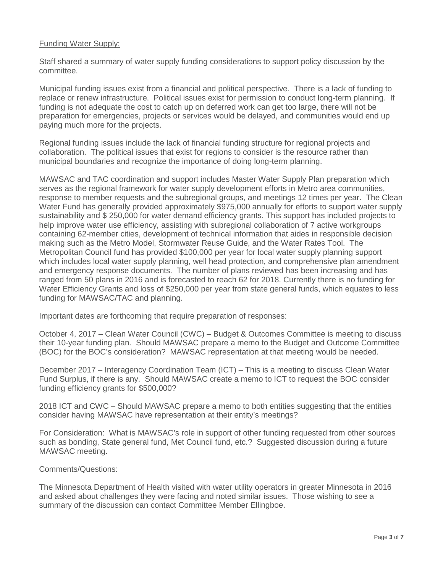### Funding Water Supply:

Staff shared a summary of water supply funding considerations to support policy discussion by the committee.

Municipal funding issues exist from a financial and political perspective. There is a lack of funding to replace or renew infrastructure. Political issues exist for permission to conduct long-term planning. If funding is not adequate the cost to catch up on deferred work can get too large, there will not be preparation for emergencies, projects or services would be delayed, and communities would end up paying much more for the projects.

Regional funding issues include the lack of financial funding structure for regional projects and collaboration. The political issues that exist for regions to consider is the resource rather than municipal boundaries and recognize the importance of doing long-term planning.

MAWSAC and TAC coordination and support includes Master Water Supply Plan preparation which serves as the regional framework for water supply development efforts in Metro area communities, response to member requests and the subregional groups, and meetings 12 times per year. The Clean Water Fund has generally provided approximately \$975,000 annually for efforts to support water supply sustainability and \$ 250,000 for water demand efficiency grants. This support has included projects to help improve water use efficiency, assisting with subregional collaboration of 7 active workgroups containing 62-member cities, development of technical information that aides in responsible decision making such as the Metro Model, Stormwater Reuse Guide, and the Water Rates Tool. The Metropolitan Council fund has provided \$100,000 per year for local water supply planning support which includes local water supply planning, well head protection, and comprehensive plan amendment and emergency response documents. The number of plans reviewed has been increasing and has ranged from 50 plans in 2016 and is forecasted to reach 62 for 2018. Currently there is no funding for Water Efficiency Grants and loss of \$250,000 per year from state general funds, which equates to less funding for MAWSAC/TAC and planning.

Important dates are forthcoming that require preparation of responses:

October 4, 2017 – Clean Water Council (CWC) – Budget & Outcomes Committee is meeting to discuss their 10-year funding plan. Should MAWSAC prepare a memo to the Budget and Outcome Committee (BOC) for the BOC's consideration? MAWSAC representation at that meeting would be needed.

December 2017 – Interagency Coordination Team (ICT) – This is a meeting to discuss Clean Water Fund Surplus, if there is any. Should MAWSAC create a memo to ICT to request the BOC consider funding efficiency grants for \$500,000?

2018 ICT and CWC – Should MAWSAC prepare a memo to both entities suggesting that the entities consider having MAWSAC have representation at their entity's meetings?

For Consideration: What is MAWSAC's role in support of other funding requested from other sources such as bonding, State general fund, Met Council fund, etc.? Suggested discussion during a future MAWSAC meeting.

#### Comments/Questions:

The Minnesota Department of Health visited with water utility operators in greater Minnesota in 2016 and asked about challenges they were facing and noted similar issues. Those wishing to see a summary of the discussion can contact Committee Member Ellingboe.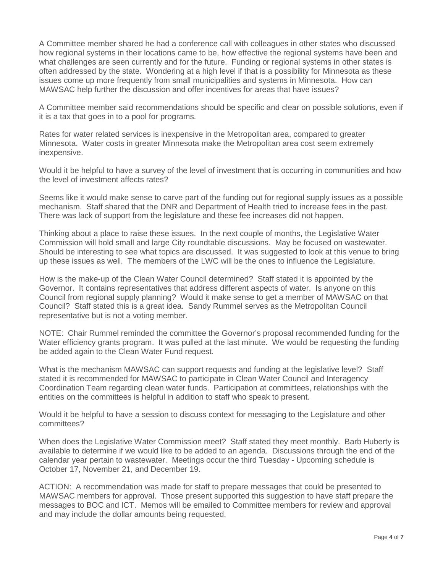A Committee member shared he had a conference call with colleagues in other states who discussed how regional systems in their locations came to be, how effective the regional systems have been and what challenges are seen currently and for the future. Funding or regional systems in other states is often addressed by the state. Wondering at a high level if that is a possibility for Minnesota as these issues come up more frequently from small municipalities and systems in Minnesota. How can MAWSAC help further the discussion and offer incentives for areas that have issues?

A Committee member said recommendations should be specific and clear on possible solutions, even if it is a tax that goes in to a pool for programs.

Rates for water related services is inexpensive in the Metropolitan area, compared to greater Minnesota. Water costs in greater Minnesota make the Metropolitan area cost seem extremely inexpensive.

Would it be helpful to have a survey of the level of investment that is occurring in communities and how the level of investment affects rates?

Seems like it would make sense to carve part of the funding out for regional supply issues as a possible mechanism. Staff shared that the DNR and Department of Health tried to increase fees in the past. There was lack of support from the legislature and these fee increases did not happen.

Thinking about a place to raise these issues. In the next couple of months, the Legislative Water Commission will hold small and large City roundtable discussions. May be focused on wastewater. Should be interesting to see what topics are discussed. It was suggested to look at this venue to bring up these issues as well. The members of the LWC will be the ones to influence the Legislature.

How is the make-up of the Clean Water Council determined? Staff stated it is appointed by the Governor. It contains representatives that address different aspects of water. Is anyone on this Council from regional supply planning? Would it make sense to get a member of MAWSAC on that Council? Staff stated this is a great idea. Sandy Rummel serves as the Metropolitan Council representative but is not a voting member.

NOTE: Chair Rummel reminded the committee the Governor's proposal recommended funding for the Water efficiency grants program. It was pulled at the last minute. We would be requesting the funding be added again to the Clean Water Fund request.

What is the mechanism MAWSAC can support requests and funding at the legislative level? Staff stated it is recommended for MAWSAC to participate in Clean Water Council and Interagency Coordination Team regarding clean water funds. Participation at committees, relationships with the entities on the committees is helpful in addition to staff who speak to present.

Would it be helpful to have a session to discuss context for messaging to the Legislature and other committees?

When does the Legislative Water Commission meet? Staff stated they meet monthly. Barb Huberty is available to determine if we would like to be added to an agenda. Discussions through the end of the calendar year pertain to wastewater. Meetings occur the third Tuesday - Upcoming schedule is October 17, November 21, and December 19.

ACTION: A recommendation was made for staff to prepare messages that could be presented to MAWSAC members for approval. Those present supported this suggestion to have staff prepare the messages to BOC and ICT. Memos will be emailed to Committee members for review and approval and may include the dollar amounts being requested.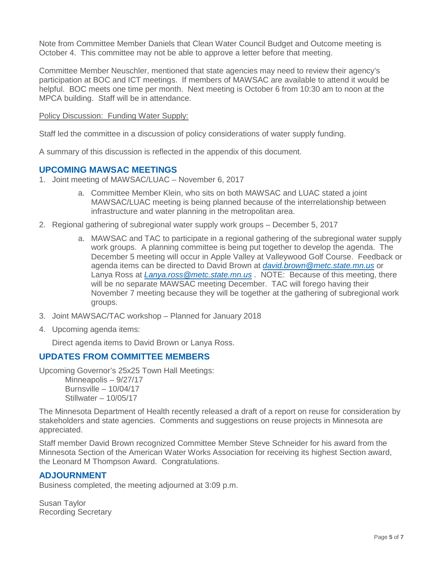Note from Committee Member Daniels that Clean Water Council Budget and Outcome meeting is October 4. This committee may not be able to approve a letter before that meeting.

Committee Member Neuschler, mentioned that state agencies may need to review their agency's participation at BOC and ICT meetings. If members of MAWSAC are available to attend it would be helpful. BOC meets one time per month. Next meeting is October 6 from 10:30 am to noon at the MPCA building. Staff will be in attendance.

Policy Discussion: Funding Water Supply:

Staff led the committee in a discussion of policy considerations of water supply funding.

A summary of this discussion is reflected in the appendix of this document.

## **UPCOMING MAWSAC MEETINGS**

- 1. Joint meeting of MAWSAC/LUAC November 6, 2017
	- a. Committee Member Klein, who sits on both MAWSAC and LUAC stated a joint MAWSAC/LUAC meeting is being planned because of the interrelationship between infrastructure and water planning in the metropolitan area.
- 2. Regional gathering of subregional water supply work groups December 5, 2017
	- a. MAWSAC and TAC to participate in a regional gathering of the subregional water supply work groups. A planning committee is being put together to develop the agenda. The December 5 meeting will occur in Apple Valley at Valleywood Golf Course. Feedback or agenda items can be directed to David Brown at *[david.brown@metc.state.mn.us](mailto:david.brown@metc.state.mn.us)* or Lanya Ross at *[Lanya.ross@metc.state.mn.us](mailto:Lanya.ross@metc.state.mn.us)* . NOTE: Because of this meeting, there will be no separate MAWSAC meeting December. TAC will forego having their November 7 meeting because they will be together at the gathering of subregional work groups.
- 3. Joint MAWSAC/TAC workshop Planned for January 2018
- 4. Upcoming agenda items:

Direct agenda items to David Brown or Lanya Ross.

## **UPDATES FROM COMMITTEE MEMBERS**

Upcoming Governor's 25x25 Town Hall Meetings: Minneapolis – 9/27/17 Burnsville – 10/04/17

Stillwater – 10/05/17 The Minnesota Department of Health recently released a draft of a report on reuse for consideration by stakeholders and state agencies. Comments and suggestions on reuse projects in Minnesota are appreciated.

Staff member David Brown recognized Committee Member Steve Schneider for his award from the Minnesota Section of the American Water Works Association for receiving its highest Section award, the Leonard M Thompson Award. Congratulations.

## **ADJOURNMENT**

Business completed, the meeting adjourned at 3:09 p.m.

Susan Taylor Recording Secretary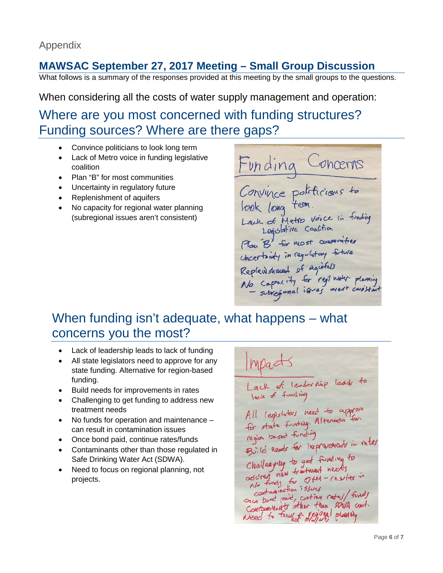## **MAWSAC September 27, 2017 Meeting – Small Group Discussion**

What follows is a summary of the responses provided at this meeting by the small groups to the questions.

When considering all the costs of water supply management and operation:

# Where are you most concerned with funding structures? Funding sources? Where are there gaps?

- Convince politicians to look long term
- Lack of Metro voice in funding legislative coalition
- Plan "B" for most communities
- Uncertainty in regulatory future
- Replenishment of aquifers
- No capacity for regional water planning (subregional issues aren't consistent)

Funding Concerns<br>Convince politicions to Lack of Metro Voice in funding<br>Lack of Metro Voice in funding<br>Play B' for most communities Chartainty in regulatory future Repleus showent of agirless<br>No Capacity for regi mater planning<br>- subsegnal issues aren't consistent

# When funding isn't adequate, what happens – what concerns you the most?

- Lack of leadership leads to lack of funding
- All state legislators need to approve for any state funding. Alternative for region-based funding.
- Build needs for improvements in rates
- Challenging to get funding to address new treatment needs
- No funds for operation and maintenance can result in contamination issues
- Once bond paid, continue rates/funds
- Contaminants other than those regulated in Safe Drinking Water Act (SDWA).
- Need to focus on regional planning, not projects.

Impacts Lack of leadership leads to All legislators need to approve<br>for state funding. Alternative for region tased forcing<br>Birld needs for inspresencent in rates Build news a funding to<br>Challenging to get funding to<br>ascreening for OfM - results in Cartaglination 7530es containing long continue rates/ fund) Sace bone pare, But than SOUA cout. Need to fourth drifting planning